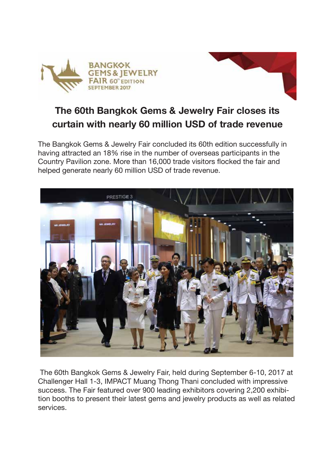



## **The 60th Bangkok Gems & Jewelry Fair closes its curtain with nearly 60 million USD of trade revenue**

The Bangkok Gems & Jewelry Fair concluded its 60th edition successfully in having attracted an 18% rise in the number of overseas participants in the Country Pavilion zone. More than 16,000 trade visitors flocked the fair and helped generate nearly 60 million USD of trade revenue.



 The 60th Bangkok Gems & Jewelry Fair, held during September 6-10, 2017 at Challenger Hall 1-3, IMPACT Muang Thong Thani concluded with impressive success. The Fair featured over 900 leading exhibitors covering 2,200 exhibition booths to present their latest gems and jewelry products as well as related services.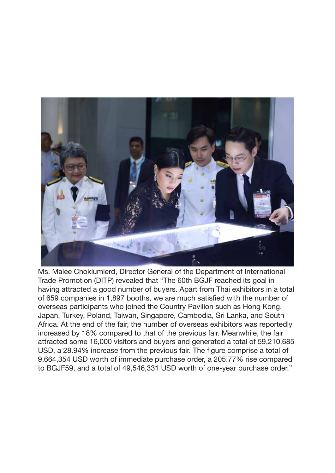

Ms. Malee Choklumlerd, Director General of the Department of International Trade Promotion (DITP) revealed that "The 60th BGJF reached its goal in having attracted a good number of buyers. Apart from Thai exhibitors in a total of 659 companies in 1,897 booths, we are much satisfied with the number of overseas participants who joined the Country Pavilion such as Hong Kong, Japan, Turkey, Poland, Taiwan, Singapore, Cambodia, Sri Lanka, and South Africa. At the end of the fair, the number of overseas exhibitors was reportedly increased by 18% compared to that of the previous fair. Meanwhile, the fair attracted some 16,000 visitors and buyers and generated a total of 59,210,685 USD, a 28.94% increase from the previous fair. The figure comprise a total of 9,664,354 USD worth of immediate purchase order, a 205.77% rise compared to BGJF59, and a total of 49,546,331 USD worth of one-year purchase order."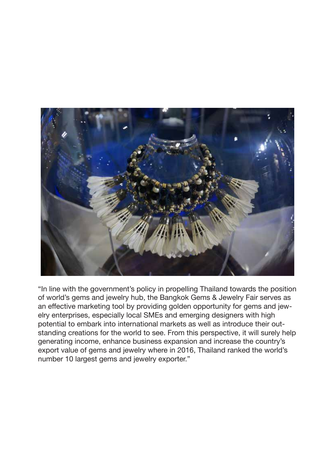

"In line with the government's policy in propelling Thailand towards the position of world's gems and jewelry hub, the Bangkok Gems & Jewelry Fair serves as an effective marketing tool by providing golden opportunity for gems and jewelry enterprises, especially local SMEs and emerging designers with high potential to embark into international markets as well as introduce their outstanding creations for the world to see. From this perspective, it will surely help generating income, enhance business expansion and increase the country's export value of gems and jewelry where in 2016, Thailand ranked the world's number 10 largest gems and jewelry exporter."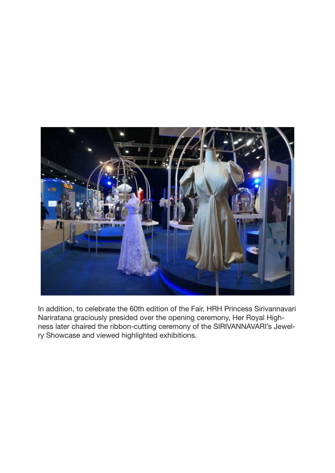

In addition, to celebrate the 60th edition of the Fair, HRH Princess Sirivannavari Nariratana graciously presided over the opening ceremony, Her Royal Highness later chaired the ribbon-cutting ceremony of the SIRIVANNAVARI's Jewelry Showcase and viewed highlighted exhibitions.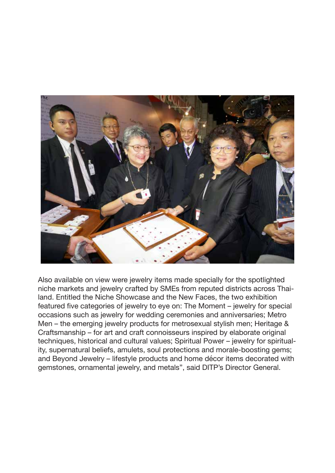

Also available on view were jewelry items made specially for the spotlighted niche markets and jewelry crafted by SMEs from reputed districts across Thailand. Entitled the Niche Showcase and the New Faces, the two exhibition featured five categories of jewelry to eye on: The Moment – jewelry for special occasions such as jewelry for wedding ceremonies and anniversaries; Metro Men – the emerging jewelry products for metrosexual stylish men; Heritage & Craftsmanship – for art and craft connoisseurs inspired by elaborate original techniques, historical and cultural values; Spiritual Power – jewelry for spirituality, supernatural beliefs, amulets, soul protections and morale-boosting gems; and Beyond Jewelry – lifestyle products and home décor items decorated with gemstones, ornamental jewelry, and metals", said DITP's Director General.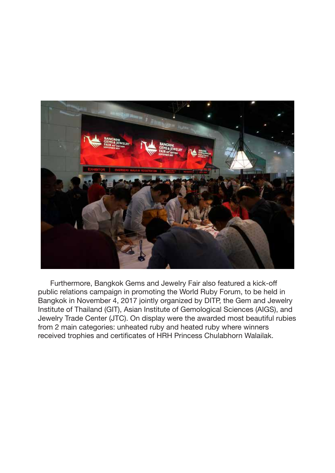

 Furthermore, Bangkok Gems and Jewelry Fair also featured a kick-off public relations campaign in promoting the World Ruby Forum, to be held in Bangkok in November 4, 2017 jointly organized by DITP, the Gem and Jewelry Institute of Thailand (GIT), Asian Institute of Gemological Sciences (AIGS), and Jewelry Trade Center (JTC). On display were the awarded most beautiful rubies from 2 main categories: unheated ruby and heated ruby where winners received trophies and certificates of HRH Princess Chulabhorn Walailak.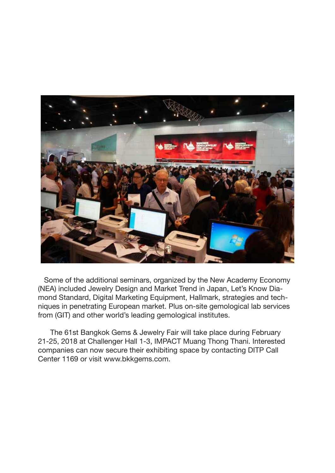

 Some of the additional seminars, organized by the New Academy Economy (NEA) included Jewelry Design and Market Trend in Japan, Let's Know Diamond Standard, Digital Marketing Equipment, Hallmark, strategies and techniques in penetrating European market. Plus on-site gemological lab services from (GIT) and other world's leading gemological institutes.

 The 61st Bangkok Gems & Jewelry Fair will take place during February 21-25, 2018 at Challenger Hall 1-3, IMPACT Muang Thong Thani. Interested companies can now secure their exhibiting space by contacting DITP Call Center 1169 or visit www.bkkgems.com.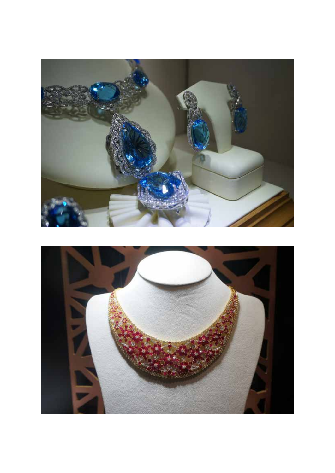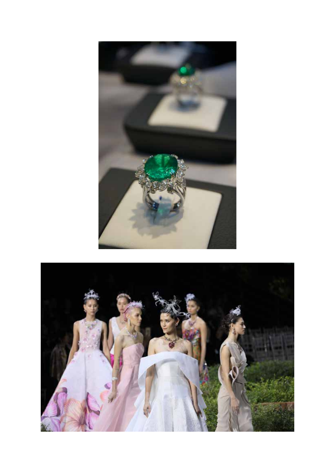

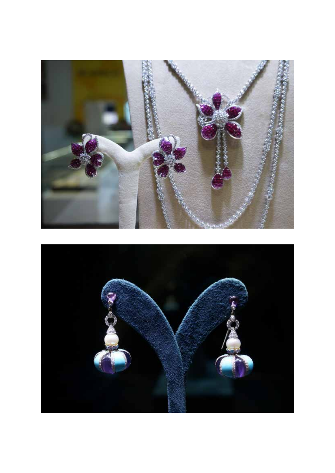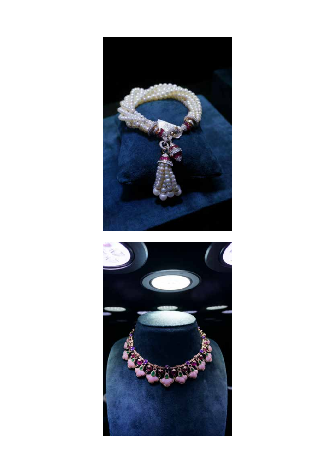

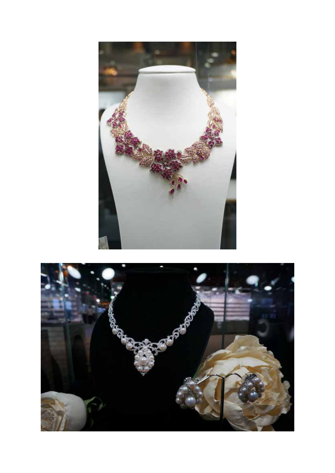

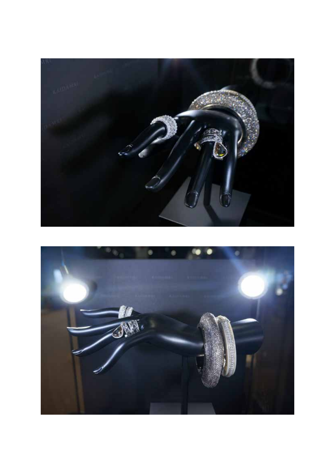